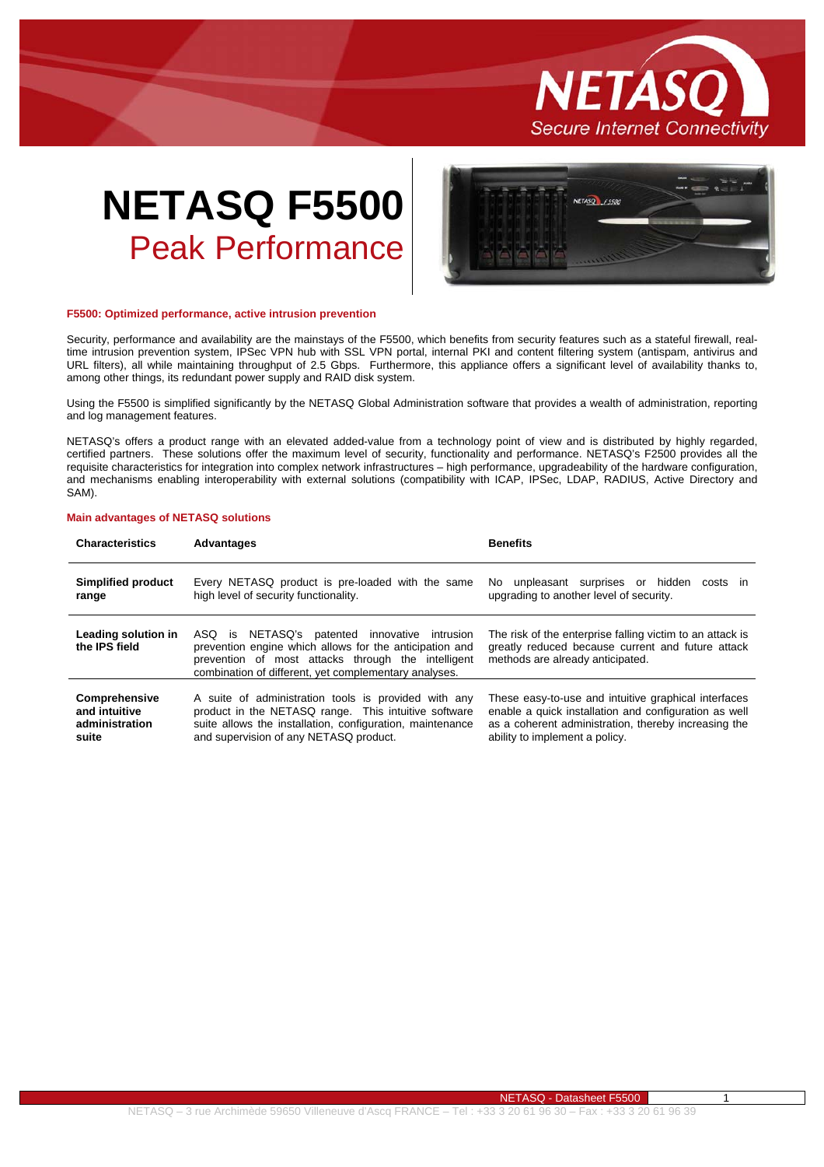

# **NETASQ F5500** Peak Performance



## **F5500: Optimized performance, active intrusion prevention**

Security, performance and availability are the mainstays of the F5500, which benefits from security features such as a stateful firewall, realtime intrusion prevention system, IPSec VPN hub with SSL VPN portal, internal PKI and content filtering system (antispam, antivirus and URL filters), all while maintaining throughput of 2.5 Gbps. Furthermore, this appliance offers a significant level of availability thanks to, among other things, its redundant power supply and RAID disk system.

Using the F5500 is simplified significantly by the NETASQ Global Administration software that provides a wealth of administration, reporting and log management features.

NETASQ's offers a product range with an elevated added-value from a technology point of view and is distributed by highly regarded, certified partners. These solutions offer the maximum level of security, functionality and performance. NETASQ's F2500 provides all the requisite characteristics for integration into complex network infrastructures – high performance, upgradeability of the hardware configuration, and mechanisms enabling interoperability with external solutions (compatibility with ICAP, IPSec, LDAP, RADIUS, Active Directory and SAM).

# **Main advantages of NETASQ solutions**

| <b>Characteristics</b>                                    | <b>Advantages</b>                                                                                                                                                                                                       | <b>Benefits</b>                                                                                                                                                                                         |
|-----------------------------------------------------------|-------------------------------------------------------------------------------------------------------------------------------------------------------------------------------------------------------------------------|---------------------------------------------------------------------------------------------------------------------------------------------------------------------------------------------------------|
| Simplified product<br>range                               | Every NETASQ product is pre-loaded with the same<br>high level of security functionality.                                                                                                                               | No unpleasant surprises or hidden<br>costs in<br>upgrading to another level of security.                                                                                                                |
| Leading solution in<br>the IPS field                      | ASQ is NETASQ's patented innovative intrusion<br>prevention engine which allows for the anticipation and<br>prevention of most attacks through the intelligent<br>combination of different, yet complementary analyses. | The risk of the enterprise falling victim to an attack is<br>greatly reduced because current and future attack<br>methods are already anticipated.                                                      |
| Comprehensive<br>and intuitive<br>administration<br>suite | A suite of administration tools is provided with any<br>product in the NETASQ range. This intuitive software<br>suite allows the installation, configuration, maintenance<br>and supervision of any NETASQ product.     | These easy-to-use and intuitive graphical interfaces<br>enable a quick installation and configuration as well<br>as a coherent administration, thereby increasing the<br>ability to implement a policy. |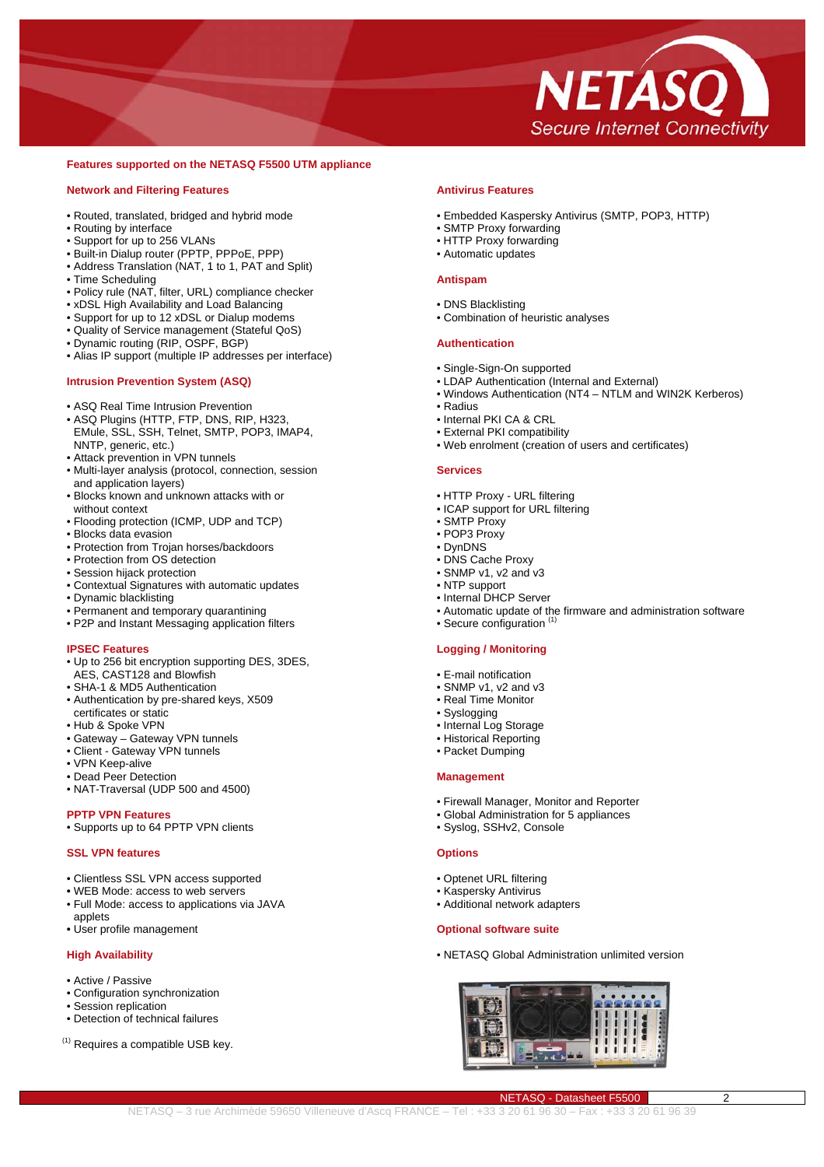

# **Features supported on the NETASQ F5500 UTM appliance**

# **Network and Filtering Features**

- Routed, translated, bridged and hybrid mode
- Routing by interface
- Support for up to 256 VLANs
- Built-in Dialup router (PPTP, PPPoE, PPP)
- Address Translation (NAT, 1 to 1, PAT and Split)
- Time Scheduling
- Policy rule (NAT, filter, URL) compliance checker
- xDSL High Availability and Load Balancing
- Support for up to 12 xDSL or Dialup modems
- Quality of Service management (Stateful QoS)
- Dynamic routing (RIP, OSPF, BGP)
- Alias IP support (multiple IP addresses per interface)

# **Intrusion Prevention System (ASQ)**

- ASQ Real Time Intrusion Prevention
- ASQ Plugins (HTTP, FTP, DNS, RIP, H323, EMule, SSL, SSH, Telnet, SMTP, POP3, IMAP4, NNTP, generic, etc.)
- Attack prevention in VPN tunnels
- Multi-layer analysis (protocol, connection, session and application layers)
- Blocks known and unknown attacks with or without context
- Flooding protection (ICMP, UDP and TCP)
- Blocks data evasion
- Protection from Trojan horses/backdoors
- Protection from OS detection
- Session hijack protection
- Contextual Signatures with automatic updates
- Dynamic blacklisting
- Permanent and temporary quarantining
- P2P and Instant Messaging application filters

# **IPSEC Features**

- Up to 256 bit encryption supporting DES, 3DES,
- AES, CAST128 and Blowfish
- SHA-1 & MD5 Authentication
- Authentication by pre-shared keys, X509 certificates or static
- Hub & Spoke VPN
- Gateway Gateway VPN tunnels
- Client Gateway VPN tunnels
- VPN Keep-alive
- Dead Peer Detection
- NAT-Traversal (UDP 500 and 4500)

# **PPTP VPN Features**

• Supports up to 64 PPTP VPN clients

# **SSL VPN features**

- Clientless SSL VPN access supported
- WEB Mode: access to web servers
- Full Mode: access to applications via JAVA applets
- User profile management

# **High Availability**

- Active / Passive
- Configuration synchronization
- Session replication
- Detection of technical failures
- (1) Requires a compatible USB key.

# **Antivirus Features**

- Embedded Kaspersky Antivirus (SMTP, POP3, HTTP)
- SMTP Proxy forwarding
- HTTP Proxy forwarding
- Automatic updates

#### **Antispam**

- DNS Blacklisting
- Combination of heuristic analyses

#### **Authentication**

- Single-Sign-On supported
- LDAP Authentication (Internal and External)
- Windows Authentication (NT4 NTLM and WIN2K Kerberos)
- Radius
- Internal PKI CA & CRL
- External PKI compatibility
- Web enrolment (creation of users and certificates)

#### **Services**

- HTTP Proxy URL filtering
- ICAP support for URL filtering
- SMTP Proxy
- POP3 Proxy
- DynDNS
- DNS Cache Proxy
- SNMP v1, v2 and v3 • NTP support
- Internal DHCP Server
- 
- Automatic update of the firmware and administration software • Secure configuration

#### **Logging / Monitoring**

- E-mail notification
- SNMP v1, v2 and v3
- Real Time Monitor
- Syslogging
- Internal Log Storage
- Historical Reporting
- Packet Dumping

#### **Management**

- Firewall Manager, Monitor and Reporter
- Global Administration for 5 appliances
- Syslog, SSHv2, Console

#### **Options**

NETASQ – 3 rue Archimède 59650 Villeneuve d'Ascq FRANCE – Tel : +33 3 20 61 96 30 – Fax : +33 3 20 61 96 39

- Optenet URL filtering
- Kaspersky Antivirus
- Additional network adapters

#### **Optional software suite**

• NETASQ Global Administration unlimited version



NETASQ - Datasheet F5500